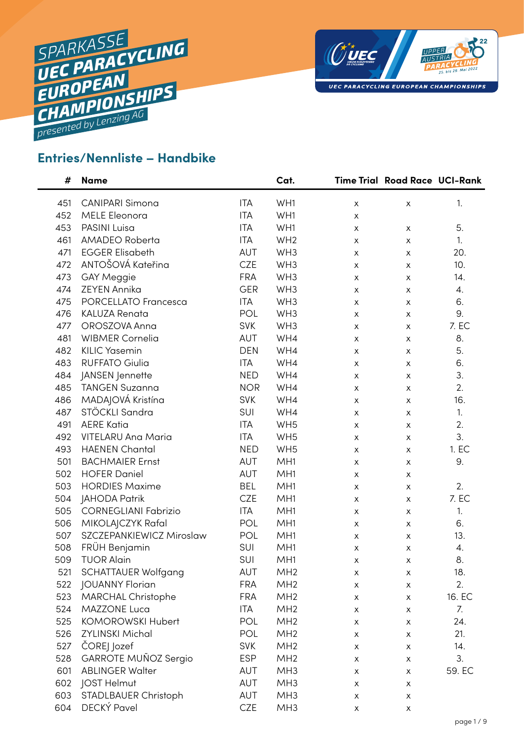



## **Entries/Nennliste – Handbike**

| #   | <b>Name</b>                 |            | Cat.            |   | <b>Time Trial Road Race UCI-Rank</b> |        |
|-----|-----------------------------|------------|-----------------|---|--------------------------------------|--------|
| 451 | <b>CANIPARI Simona</b>      | <b>ITA</b> | WH1             | X | X                                    | 1.     |
| 452 | <b>MELE Eleonora</b>        | <b>ITA</b> | WH1             | X |                                      |        |
| 453 | PASINI Luisa                | <b>ITA</b> | WH1             | X | X                                    | 5.     |
| 461 | AMADEO Roberta              | <b>ITA</b> | WH <sub>2</sub> | X | X                                    | 1.     |
| 471 | <b>EGGER Elisabeth</b>      | AUT        | WH <sub>3</sub> | X | X                                    | 20.    |
| 472 | ANTOŠOVÁ Kateřina           | <b>CZE</b> | WH <sub>3</sub> | X | X                                    | 10.    |
| 473 | <b>GAY Meggie</b>           | <b>FRA</b> | WH <sub>3</sub> | X | X                                    | 14.    |
| 474 | <b>ZEYEN Annika</b>         | <b>GER</b> | WH <sub>3</sub> | X | X                                    | 4.     |
| 475 | PORCELLATO Francesca        | <b>ITA</b> | WH <sub>3</sub> | X | X                                    | 6.     |
| 476 | <b>KALUZA Renata</b>        | POL        | WH <sub>3</sub> | X | X                                    | 9.     |
| 477 | OROSZOVA Anna               | <b>SVK</b> | WH <sub>3</sub> | X | X                                    | 7. EC  |
| 481 | <b>WIBMER Cornelia</b>      | AUT        | WH4             | X | X                                    | 8.     |
| 482 | <b>KILIC Yasemin</b>        | <b>DEN</b> | WH4             | X | X                                    | 5.     |
| 483 | <b>RUFFATO Giulia</b>       | <b>ITA</b> | WH4             | X | X                                    | 6.     |
| 484 | JANSEN Jennette             | <b>NED</b> | WH4             | X | X                                    | 3.     |
| 485 | <b>TANGEN Suzanna</b>       | <b>NOR</b> | WH4             | X | X                                    | 2.     |
| 486 | MADAJOVÁ Kristína           | <b>SVK</b> | WH4             | X | X                                    | 16.    |
| 487 | STÖCKLI Sandra              | SUI        | WH4             | X | X                                    | 1.     |
| 491 | <b>AERE Katia</b>           | <b>ITA</b> | WH <sub>5</sub> | X | X                                    | 2.     |
| 492 | <b>VITELARU Ana Maria</b>   | <b>ITA</b> | WH <sub>5</sub> | X | X                                    | 3.     |
| 493 | <b>HAENEN Chantal</b>       | <b>NED</b> | WH <sub>5</sub> | X | X                                    | 1. EC  |
| 501 | <b>BACHMAIER Ernst</b>      | AUT        | MH <sub>1</sub> | X | X                                    | 9.     |
| 502 | <b>HOFER Daniel</b>         | AUT        | MH <sub>1</sub> | X | X                                    |        |
| 503 | <b>HORDIES Maxime</b>       | <b>BEL</b> | MH <sub>1</sub> | X | X                                    | 2.     |
| 504 | <b>JAHODA Patrik</b>        | <b>CZE</b> | MH <sub>1</sub> | X | X                                    | 7. EC  |
| 505 | <b>CORNEGLIANI Fabrizio</b> | <b>ITA</b> | MH <sub>1</sub> | X | X                                    | 1.     |
| 506 | MIKOLAJCZYK Rafal           | POL        | MH <sub>1</sub> | X | х                                    | 6.     |
| 507 | SZCZEPANKIEWICZ Miroslaw    | POL        | MH <sub>1</sub> | X | X                                    | 13.    |
| 508 | FRÜH Benjamin               | SUI        | MH <sub>1</sub> | X | X                                    | 4.     |
| 509 | <b>TUOR Alain</b>           | SUI        | MH <sub>1</sub> | X | х                                    | 8.     |
| 521 | <b>SCHATTAUER Wolfgang</b>  | AUT        | MH <sub>2</sub> | X | X                                    | 18.    |
| 522 | JOUANNY Florian             | <b>FRA</b> | MH <sub>2</sub> | X | X                                    | 2.     |
| 523 | MARCHAL Christophe          | <b>FRA</b> | MH <sub>2</sub> | Х | X                                    | 16. EC |
| 524 | MAZZONE Luca                | <b>ITA</b> | MH <sub>2</sub> | X | X                                    | 7.     |
| 525 | <b>KOMOROWSKI Hubert</b>    | POL        | MH <sub>2</sub> | X | X                                    | 24.    |
| 526 | <b>ZYLINSKI Michal</b>      | POL        | MH <sub>2</sub> | Х | Х                                    | 21.    |
| 527 | ČOREJ Jozef                 | <b>SVK</b> | MH <sub>2</sub> | X | X                                    | 14.    |
| 528 | GARROTE MUÑOZ Sergio        | <b>ESP</b> | MH <sub>2</sub> | X | X                                    | 3.     |
| 601 | <b>ABLINGER Walter</b>      | AUT        | MH <sub>3</sub> | Х | Х                                    | 59. EC |
| 602 | JOST Helmut                 | AUT        | MH <sub>3</sub> | X | х                                    |        |
| 603 | STADLBAUER Christoph        | AUT        | MH <sub>3</sub> | X | X                                    |        |
| 604 | DECKÝ Pavel                 | <b>CZE</b> | MH <sub>3</sub> | X | Х                                    |        |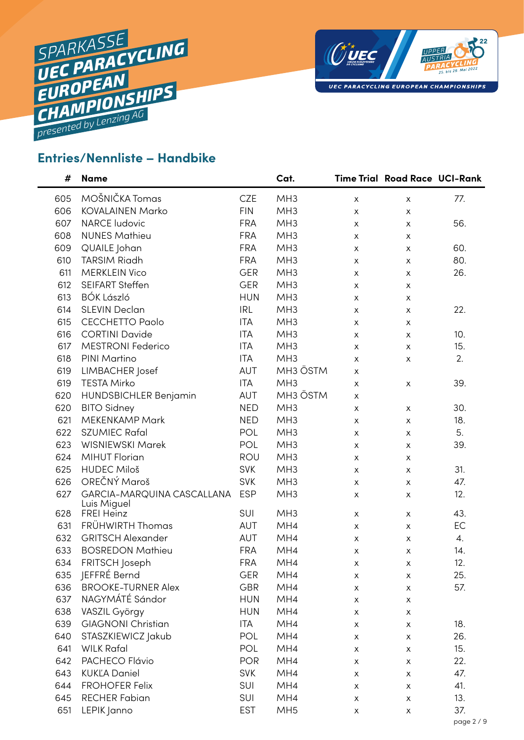



## **Entries/Nennliste – Handbike**

| #   | <b>Name</b>                               |            | Cat.                 |                           | Time Trial Road Race UCI-Rank |            |
|-----|-------------------------------------------|------------|----------------------|---------------------------|-------------------------------|------------|
| 605 | MOŠNIČKA Tomas                            | <b>CZE</b> | MH <sub>3</sub>      | $\mathsf X$               | $\pmb{\times}$                | 77.        |
| 606 | <b>KOVALAINEN Marko</b>                   | <b>FIN</b> | MH <sub>3</sub>      | X                         | X                             |            |
| 607 | <b>NARCE ludovic</b>                      | <b>FRA</b> | MH <sub>3</sub>      | X                         | X                             | 56.        |
| 608 | <b>NUNES Mathieu</b>                      | <b>FRA</b> | MH <sub>3</sub>      | X                         | X                             |            |
| 609 | QUAILE Johan                              | <b>FRA</b> | MH <sub>3</sub>      | $\boldsymbol{\mathsf{X}}$ | $\mathsf{x}$                  | 60.        |
| 610 | <b>TARSIM Riadh</b>                       | <b>FRA</b> | MH <sub>3</sub>      | X                         | X                             | 80.        |
| 611 | <b>MERKLEIN Vico</b>                      | <b>GER</b> | MH <sub>3</sub>      | X                         | X                             | 26.        |
| 612 | <b>SEIFART Steffen</b>                    | <b>GER</b> | MH <sub>3</sub>      | X                         | X                             |            |
| 613 | <b>BÓK László</b>                         | <b>HUN</b> | MH <sub>3</sub>      | X                         | $\mathsf{x}$                  |            |
| 614 | <b>SLEVIN Declan</b>                      | <b>IRL</b> | MH <sub>3</sub>      | X                         | $\pmb{\mathsf{X}}$            | 22.        |
| 615 | <b>CECCHETTO Paolo</b>                    | <b>ITA</b> | MH <sub>3</sub>      | X                         | X                             |            |
| 616 | <b>CORTINI Davide</b>                     | <b>ITA</b> | MH <sub>3</sub>      | X                         | X                             | 10.        |
| 617 | <b>MESTRONI Federico</b>                  | <b>ITA</b> | MH <sub>3</sub>      | $\pmb{\times}$            | $\mathsf{x}$                  | 15.        |
| 618 | PINI Martino                              | <b>ITA</b> | MH <sub>3</sub>      | X                         | $\mathsf{x}$                  | 2.         |
| 619 | LIMBACHER Josef                           | AUT        | MH <sub>3</sub> ÖSTM | X                         |                               |            |
| 619 | <b>TESTA Mirko</b>                        | <b>ITA</b> | MH <sub>3</sub>      | $\pmb{\times}$            | $\pmb{\times}$                | 39.        |
| 620 | HUNDSBICHLER Benjamin                     | AUT        | MH <sub>3</sub> ÖSTM | X                         |                               |            |
| 620 | <b>BITO Sidney</b>                        | <b>NED</b> | MH <sub>3</sub>      | X                         | $\mathsf{X}$                  | 30.        |
| 621 | <b>MEKENKAMP Mark</b>                     | <b>NED</b> | MH <sub>3</sub>      | X                         | $\mathsf{x}$                  | 18.        |
| 622 | <b>SZUMIEC Rafal</b>                      | POL        | MH <sub>3</sub>      | X                         | X                             | 5.         |
| 623 | WISNIEWSKI Marek                          | POL        | MH <sub>3</sub>      | X                         | X                             | 39.        |
| 624 | <b>MIHUT Florian</b>                      | ROU        | MH <sub>3</sub>      | $\pmb{\times}$            | $\pmb{\times}$                |            |
| 625 | <b>HUDEC Miloš</b>                        | <b>SVK</b> | MH <sub>3</sub>      | X                         | $\mathsf{x}$                  | 31.        |
| 626 | OREČNÝ Maroš                              | <b>SVK</b> | MH <sub>3</sub>      | $\mathsf{x}$              | X                             | 47.        |
| 627 | GARCIA-MARQUINA CASCALLANA<br>Luis Miguel | <b>ESP</b> | MH <sub>3</sub>      | $\pmb{\times}$            | $\mathsf{x}$                  | 12.        |
| 628 | FREI Heinz                                | SUI        | MH <sub>3</sub>      | X                         | X                             | 43.        |
| 631 | FRÜHWIRTH Thomas                          | AUT        | MH4                  | $\mathsf{x}$              | X                             | EC         |
| 632 | <b>GRITSCH Alexander</b>                  | AUT        | MH4                  | $\pmb{\times}$            | X                             | 4.         |
| 633 | <b>BOSREDON Mathieu</b>                   | <b>FRA</b> | MH4                  | $\pmb{\times}$            | X                             | 14.        |
| 634 | FRITSCH Joseph                            | <b>FRA</b> | MH4                  | х                         | Х                             | 12.        |
| 635 | JEFFRÉ Bernd                              | <b>GER</b> | MH4                  | Х                         | X                             | 25.        |
| 636 | <b>BROOKE-TURNER Alex</b>                 | <b>GBR</b> | MH4                  | $\mathsf{x}$              | X                             | 57.        |
| 637 | NAGYMÁTÉ Sándor                           | <b>HUN</b> | MH4                  | X                         | X                             |            |
| 638 | VASZIL György                             | <b>HUN</b> | MH4                  | X                         | X                             |            |
| 639 | <b>GIAGNONI Christian</b>                 | <b>ITA</b> | MH4                  | X                         | X                             | 18.        |
| 640 | STASZKIEWICZ Jakub                        | POL        | MH4                  | X                         | X                             | 26.        |
| 641 | <b>WILK Rafal</b>                         | POL        | MH4                  | X                         | $\boldsymbol{\mathsf{X}}$     | 15.        |
| 642 | PACHECO Flávio                            | <b>POR</b> | MH4                  | $\boldsymbol{\mathsf{X}}$ | X                             | 22.        |
| 643 | <b>KUKĽA Daniel</b>                       | <b>SVK</b> | MH4                  | X                         | X                             | 47.        |
| 644 | <b>FROHOFER Felix</b>                     | SUI        | MH4                  | X                         | X                             | 41.        |
| 645 | <b>RECHER Fabian</b>                      | SUI        | MH4                  | $\boldsymbol{\mathsf{X}}$ | $\mathsf X$                   | 13.        |
| 651 | LEPIK Janno                               | <b>EST</b> | MH <sub>5</sub>      | X                         | X                             | 37.        |
|     |                                           |            |                      |                           |                               | page 2 / 9 |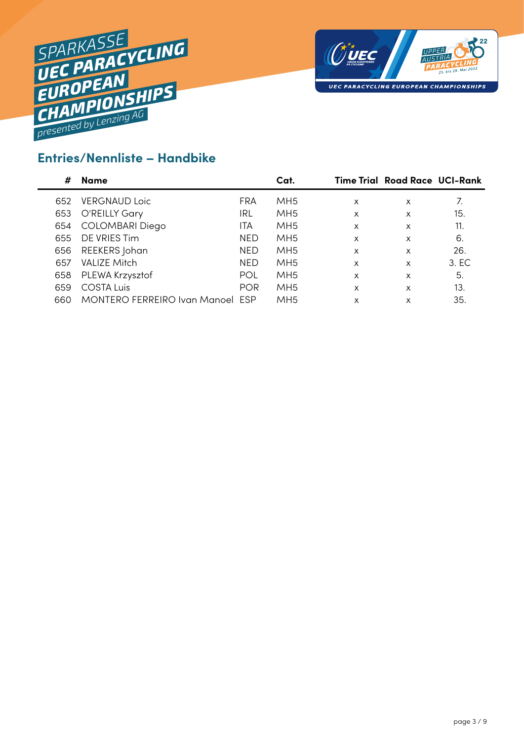



### **Entries/Nennliste – Handbike**

| #   | Name                             |            | Cat.            |                           | <b>Time Trial Road Race UCI-Rank</b> |       |
|-----|----------------------------------|------------|-----------------|---------------------------|--------------------------------------|-------|
| 652 | <b>VERGNAUD Loic</b>             | FRA        | MH5             | $\times$                  | X                                    | 7.    |
| 653 | O'REILLY Gary                    | IRL        | MH5             | $\times$                  | X                                    | 15.   |
| 654 | <b>COLOMBARI Diego</b>           | ITA        | MH5             | x                         | X                                    | 11.   |
| 655 | DE VRIES Tim                     | <b>NED</b> | MH <sub>5</sub> | x                         | X                                    | 6.    |
| 656 | REEKERS Johan                    | <b>NED</b> | MH <sub>5</sub> | $\boldsymbol{\mathsf{x}}$ | X                                    | 26.   |
| 657 | <b>VALIZE Mitch</b>              | <b>NED</b> | MH <sub>5</sub> | $\boldsymbol{\mathsf{x}}$ | X                                    | 3. EC |
| 658 | PLEWA Krzysztof                  | POL        | MH <sub>5</sub> | x                         | x                                    | 5.    |
| 659 | <b>COSTA Luis</b>                | <b>POR</b> | MH <sub>5</sub> | x                         | X                                    | 13.   |
| 660 | MONTERO FERREIRO Ivan Manoel ESP |            | MH <sub>5</sub> | x                         | X                                    | 35.   |
|     |                                  |            |                 |                           |                                      |       |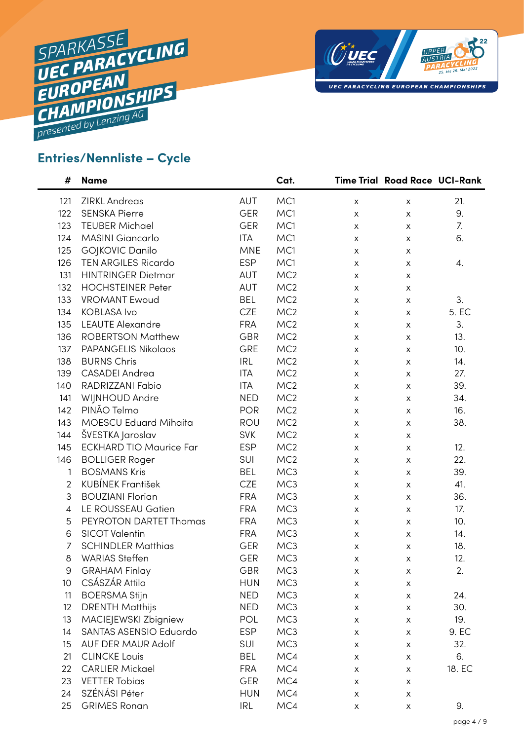



### **Entries/Nennliste – Cycle**

| #              | <b>Name</b>                    |            | Cat.            |   | Time Trial Road Race UCI-Rank |        |
|----------------|--------------------------------|------------|-----------------|---|-------------------------------|--------|
| 121            | <b>ZIRKL Andreas</b>           | AUT        | MC1             | X | X                             | 21.    |
| 122            | <b>SENSKA Pierre</b>           | <b>GER</b> | MC1             | X | X                             | 9.     |
| 123            | <b>TEUBER Michael</b>          | <b>GER</b> | MC1             | X | X                             | 7.     |
| 124            | MASINI Giancarlo               | <b>ITA</b> | MC1             | X | X                             | 6.     |
| 125            | GOJKOVIC Danilo                | <b>MNE</b> | MC1             | X | X                             |        |
| 126            | <b>TEN ARGILES Ricardo</b>     | <b>ESP</b> | MC1             | X | X                             | 4.     |
| 131            | <b>HINTRINGER Dietmar</b>      | AUT        | MC <sub>2</sub> | X | X                             |        |
| 132            | <b>HOCHSTEINER Peter</b>       | AUT        | MC <sub>2</sub> | X | X                             |        |
| 133            | <b>VROMANT Ewoud</b>           | <b>BEL</b> | MC <sub>2</sub> | X | X                             | 3.     |
| 134            | <b>KOBLASA Ivo</b>             | <b>CZE</b> | MC <sub>2</sub> | X | X                             | 5. EC  |
| 135            | <b>LEAUTE Alexandre</b>        | <b>FRA</b> | MC <sub>2</sub> | X | X                             | 3.     |
| 136            | <b>ROBERTSON Matthew</b>       | <b>GBR</b> | MC <sub>2</sub> | X | X                             | 13.    |
| 137            | PAPANGELIS Nikolaos            | GRE        | MC <sub>2</sub> | X | X                             | 10.    |
| 138            | <b>BURNS Chris</b>             | <b>IRL</b> | MC <sub>2</sub> | X | X                             | 14.    |
| 139            | <b>CASADEI</b> Andrea          | <b>ITA</b> | MC <sub>2</sub> | X | X                             | 27.    |
| 140            | RADRIZZANI Fabio               | <b>ITA</b> | MC <sub>2</sub> | X | X                             | 39.    |
| 141            | WIJNHOUD Andre                 | <b>NED</b> | MC <sub>2</sub> | X | X                             | 34.    |
| 142            | PINÃO Telmo                    | <b>POR</b> | MC <sub>2</sub> | X | X                             | 16.    |
| 143            | <b>MOESCU Eduard Mihaita</b>   | ROU        | MC <sub>2</sub> | X | X                             | 38.    |
| 144            | ŠVESTKA Jaroslav               | <b>SVK</b> | MC <sub>2</sub> | X | X                             |        |
| 145            | <b>ECKHARD TIO Maurice Far</b> | <b>ESP</b> | MC <sub>2</sub> | X | X                             | 12.    |
| 146            | <b>BOLLIGER Roger</b>          | SUI        | MC <sub>2</sub> | X | х                             | 22.    |
| 1              | <b>BOSMANS Kris</b>            | <b>BEL</b> | MC3             | X | X                             | 39.    |
| $\overline{2}$ | <b>KUBÍNEK František</b>       | <b>CZE</b> | MC3             | X | X                             | 41.    |
| 3              | <b>BOUZIANI Florian</b>        | <b>FRA</b> | MC3             | X | X                             | 36.    |
| 4              | LE ROUSSEAU Gatien             | <b>FRA</b> | MC3             | X | X                             | 17.    |
| 5              | PEYROTON DARTET Thomas         | <b>FRA</b> | MC3             | X | X                             | 10.    |
| 6              | <b>SICOT Valentin</b>          | <b>FRA</b> | MC3             | X | X                             | 14.    |
| 7              | <b>SCHINDLER Matthias</b>      | <b>GER</b> | MC3             | X | X                             | 18.    |
| 8              | <b>WARIAS Steffen</b>          | <b>GER</b> | MC3             | X | X                             | 12.    |
| 9              | <b>GRAHAM Finlay</b>           | GBR        | MC <sub>3</sub> | Х | х                             | 2.     |
| 10             | CSÁSZÁR Attila                 | <b>HUN</b> | MC3             | X | $\pmb{\times}$                |        |
| 11             | <b>BOERSMA Stijn</b>           | <b>NED</b> | MC3             | X | X                             | 24.    |
| 12             | <b>DRENTH Matthijs</b>         | <b>NED</b> | MC3             | X | X                             | 30.    |
| 13             | MACIEJEWSKI Zbigniew           | POL        | MC3             | X | X                             | 19.    |
| 14             | SANTAS ASENSIO Eduardo         | <b>ESP</b> | MC3             | X | X                             | 9. EC  |
| 15             | <b>AUF DER MAUR Adolf</b>      | SUI        | MC3             | X | X                             | 32.    |
| 21             | <b>CLINCKE Louis</b>           | <b>BEL</b> | MC4             | X | X                             | 6.     |
| 22             | <b>CARLIER Mickael</b>         | <b>FRA</b> | MC4             | X | X                             | 18. EC |
| 23             | <b>VETTER Tobias</b>           | <b>GER</b> | MC4             | X | Х                             |        |
| 24             | SZÉNÁSI Péter                  | <b>HUN</b> | MC4             | X | X                             |        |
| 25             | <b>GRIMES Ronan</b>            | <b>IRL</b> | MC4             | X | X                             | 9.     |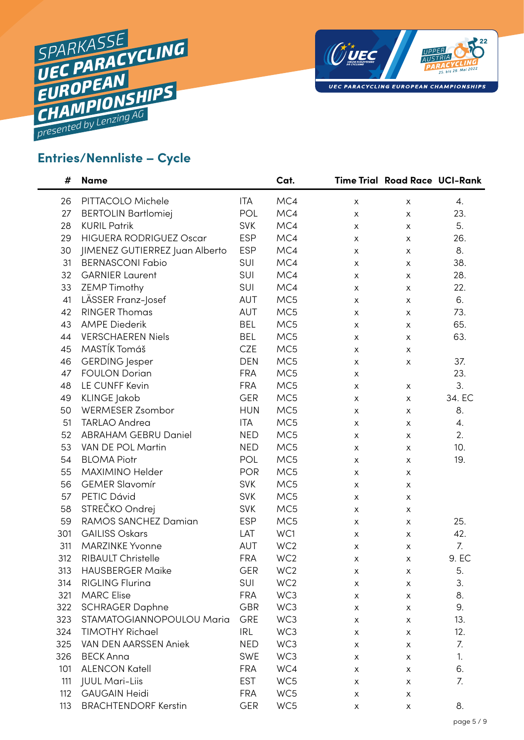



### **Entries/Nennliste – Cycle**

| #   | <b>Name</b>                    |            | Cat.            |   | Time Trial Road Race UCI-Rank |        |
|-----|--------------------------------|------------|-----------------|---|-------------------------------|--------|
| 26  | PITTACOLO Michele              | <b>ITA</b> | MC4             | X | X                             | 4.     |
| 27  | <b>BERTOLIN Bartlomiej</b>     | POL        | MC4             | X | X                             | 23.    |
| 28  | <b>KURIL Patrik</b>            | <b>SVK</b> | MC4             | X | X                             | 5.     |
| 29  | <b>HIGUERA RODRIGUEZ Oscar</b> | <b>ESP</b> | MC4             | X | X                             | 26.    |
| 30  | JIMENEZ GUTIERREZ Juan Alberto | <b>ESP</b> | MC4             | X | X                             | 8.     |
| 31  | <b>BERNASCONI Fabio</b>        | <b>SUI</b> | MC4             | X | X                             | 38.    |
| 32  | <b>GARNIER Laurent</b>         | SUI        | MC4             | X | X                             | 28.    |
| 33  | ZEMP Timothy                   | SUI        | MC4             | X | X                             | 22.    |
| 41  | LÄSSER Franz-Josef             | AUT        | MC5             | X | X                             | 6.     |
| 42  | <b>RINGER Thomas</b>           | AUT        | MC5             | X | X                             | 73.    |
| 43  | <b>AMPE Diederik</b>           | <b>BEL</b> | MC5             | X | X                             | 65.    |
| 44  | <b>VERSCHAEREN Niels</b>       | <b>BEL</b> | MC5             | X | X                             | 63.    |
| 45  | MASTÍK Tomáš                   | <b>CZE</b> | MC5             | X | X                             |        |
| 46  | <b>GERDING</b> Jesper          | <b>DEN</b> | MC5             | X | $\boldsymbol{\mathsf{X}}$     | 37.    |
| 47  | <b>FOULON Dorian</b>           | <b>FRA</b> | MC5             | X |                               | 23.    |
| 48  | LE CUNFF Kevin                 | <b>FRA</b> | MC5             | X | X                             | 3.     |
| 49  | <b>KLINGE Jakob</b>            | <b>GER</b> | MC5             | X | X                             | 34. EC |
| 50  | WERMESER Zsombor               | <b>HUN</b> | MC5             | X | X                             | 8.     |
| 51  | <b>TARLAO Andrea</b>           | <b>ITA</b> | MC5             | X | X                             | 4.     |
| 52  | <b>ABRAHAM GEBRU Daniel</b>    | <b>NED</b> | MC5             | X | X                             | 2.     |
| 53  | VAN DE POL Martin              | <b>NED</b> | MC5             | X | X                             | 10.    |
| 54  | <b>BLOMA Piotr</b>             | POL        | MC5             | X | X                             | 19.    |
| 55  | MAXIMINO Helder                | <b>POR</b> | MC5             | X | X                             |        |
| 56  | <b>GEMER Slavomír</b>          | <b>SVK</b> | MC5             | X | X                             |        |
| 57  | PETIC Dávid                    | <b>SVK</b> | MC5             | X | X                             |        |
| 58  | STREČKO Ondrej                 | <b>SVK</b> | MC5             | X | X                             |        |
| 59  | RAMOS SANCHEZ Damian           | <b>ESP</b> | MC5             | X | X                             | 25.    |
| 301 | <b>GAILISS Oskars</b>          | LAT        | WC1             | X | X                             | 42.    |
| 311 | <b>MARZINKE Yvonne</b>         | AUT        | WC <sub>2</sub> | X | X                             | 7.     |
| 312 | RIBAULT Christelle             | <b>FRA</b> | WC <sub>2</sub> | X | X                             | 9. EC  |
| 313 | <b>HAUSBERGER Maike</b>        | GER        | WC <sub>2</sub> | х | х                             | 5.     |
| 314 | <b>RIGLING Flurina</b>         | SUI        | WC <sub>2</sub> | Χ | X                             | 3.     |
| 321 | <b>MARC Elise</b>              | <b>FRA</b> | WC3             | Х | х                             | 8.     |
| 322 | <b>SCHRAGER Daphne</b>         | <b>GBR</b> | WC3             | х | х                             | 9.     |
| 323 | STAMATOGIANNOPOULOU Maria      | GRE        | WC3             | X | X                             | 13.    |
| 324 | <b>TIMOTHY Richael</b>         | <b>IRL</b> | WC3             | X | X                             | 12.    |
| 325 | VAN DEN AARSSEN Aniek          | <b>NED</b> | WC3             | х | X                             | 7.     |
| 326 | <b>BECK Anna</b>               | <b>SWE</b> | WC3             | X | X                             | 1.     |
| 101 | <b>ALENCON Katell</b>          | <b>FRA</b> | WC4             | х | X                             | 6.     |
| 111 | <b>JUUL Mari-Liis</b>          | <b>EST</b> | WC5             | х | х                             | 7.     |
| 112 | <b>GAUGAIN Heidi</b>           | <b>FRA</b> | WC5             | X | X                             |        |
| 113 | <b>BRACHTENDORF Kerstin</b>    | <b>GER</b> | WC5             | Х | $\pmb{\mathsf{X}}$            | 8.     |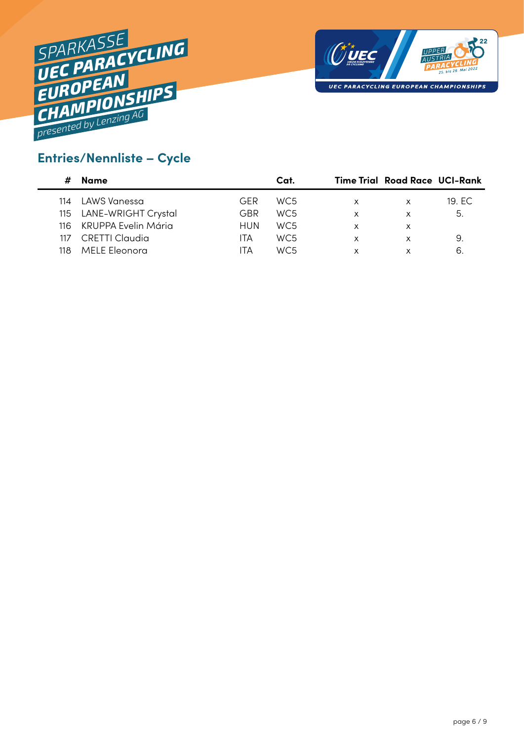



### **Entries/Nennliste – Cycle**

|     | Name                    |     | Cat.            |   | <b>Time Trial Road Race UCI-Rank</b> |        |
|-----|-------------------------|-----|-----------------|---|--------------------------------------|--------|
| 114 | LAWS Vanessa            | GFR | WC <sub>5</sub> | X | x                                    | 19. EC |
|     | 115 LANE-WRIGHT Crystal | GBR | WC <sub>5</sub> | x | x                                    | 5.     |
| 116 | KRUPPA Evelin Mária     | HUN | WC <sub>5</sub> | x | x                                    |        |
| 117 | CRETTI Claudia          | ITA | WC <sub>5</sub> | x | х                                    | 9.     |
| 118 | MELE Eleonora           | ITA | WC5             |   | x                                    | 6      |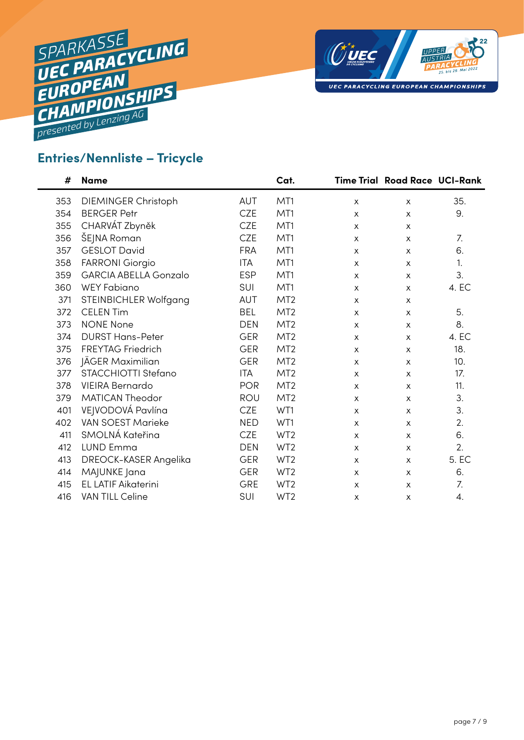



#### **Entries/Nennliste – Tricycle**

| #   | <b>Name</b>             |            | Cat.            |              | <b>Time Trial Road Race UCI-Rank</b> |       |
|-----|-------------------------|------------|-----------------|--------------|--------------------------------------|-------|
| 353 | DIEMINGER Christoph     | <b>AUT</b> | MT1             | X            | X                                    | 35.   |
| 354 | <b>BERGER Petr</b>      | <b>CZE</b> | MT1             | X            | X                                    | 9.    |
| 355 | CHARVÁT Zbyněk          | <b>CZE</b> | MT1             | X            | X                                    |       |
| 356 | ŠEJNA Roman             | <b>CZE</b> | MT1             | X            | X                                    | 7.    |
| 357 | <b>GESLOT David</b>     | <b>FRA</b> | MT1             | X            | X                                    | 6.    |
| 358 | <b>FARRONI Giorgio</b>  | <b>ITA</b> | MT1             | X            | X                                    | 1.    |
| 359 | GARCIA ABELLA Gonzalo   | <b>ESP</b> | MT1             | X            | X                                    | 3.    |
| 360 | WEY Fabiano             | SUI        | MT1             | $\mathsf{x}$ | X                                    | 4. EC |
| 371 | STEINBICHLER Wolfgang   | AUT        | MT <sub>2</sub> | X            | X                                    |       |
| 372 | <b>CELEN Tim</b>        | <b>BEL</b> | MT <sub>2</sub> | X            | X                                    | 5.    |
| 373 | <b>NONE None</b>        | <b>DEN</b> | MT <sub>2</sub> | X            | X                                    | 8.    |
| 374 | <b>DURST Hans-Peter</b> | <b>GER</b> | MT <sub>2</sub> | X            | X                                    | 4. EC |
| 375 | FREYTAG Friedrich       | <b>GER</b> | MT <sub>2</sub> | $\mathsf{x}$ | X                                    | 18.   |
| 376 | JÄGER Maximilian        | <b>GER</b> | MT <sub>2</sub> | X            | X                                    | 10.   |
| 377 | STACCHIOTTI Stefano     | <b>ITA</b> | MT <sub>2</sub> | X            | X                                    | 17.   |
| 378 | <b>VIEIRA Bernardo</b>  | <b>POR</b> | MT <sub>2</sub> | X            | X                                    | 11.   |
| 379 | <b>MATICAN Theodor</b>  | ROU        | MT <sub>2</sub> | X            | X                                    | 3.    |
| 401 | VEJVODOVÁ Pavlína       | <b>CZE</b> | WT1             | X            | X                                    | 3.    |
| 402 | VAN SOEST Marieke       | <b>NED</b> | WT1             | X            | X                                    | 2.    |
| 411 | SMOLNÁ Kateřina         | <b>CZE</b> | WT <sub>2</sub> | X            | X                                    | 6.    |
| 412 | <b>LUND Emma</b>        | <b>DEN</b> | WT <sub>2</sub> | X            | X                                    | 2.    |
| 413 | DREOCK-KASER Angelika   | <b>GER</b> | WT <sub>2</sub> | X            | X                                    | 5. EC |
| 414 | MAJUNKE Jana            | <b>GER</b> | WT <sub>2</sub> | X            | X                                    | 6.    |
| 415 | EL LATIF Aikaterini     | <b>GRE</b> | WT <sub>2</sub> | $\mathsf{x}$ | X                                    | 7.    |
| 416 | VAN TILL Celine         | SUI        | WT <sub>2</sub> | X            | X                                    | 4.    |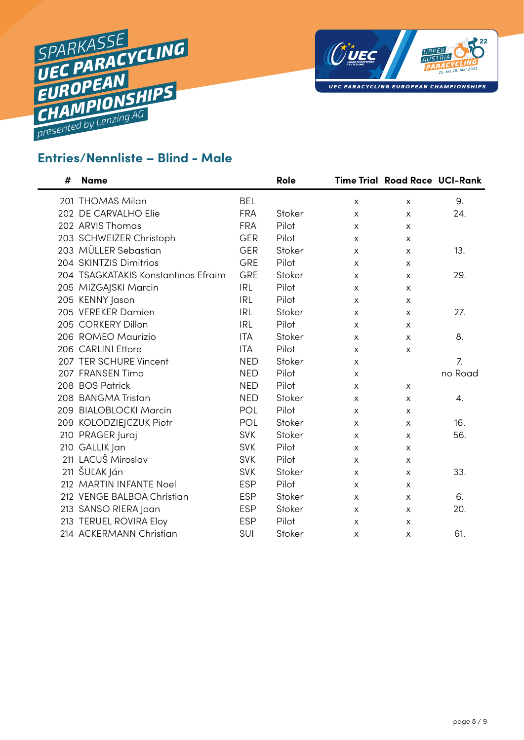



## **Entries/Nennliste – Blind - Male**

| # | <b>Name</b>                         |            | Role   |              | <b>Time Trial Road Race UCI-Rank</b> |         |
|---|-------------------------------------|------------|--------|--------------|--------------------------------------|---------|
|   | 201 THOMAS Milan                    | <b>BEL</b> |        | X            | X                                    | 9.      |
|   | 202 DE CARVALHO Elie                | <b>FRA</b> | Stoker | $\mathsf{x}$ | X                                    | 24.     |
|   | 202 ARVIS Thomas                    | <b>FRA</b> | Pilot  | $\mathsf{x}$ | X                                    |         |
|   | 203 SCHWEIZER Christoph             | <b>GER</b> | Pilot  | X            | X                                    |         |
|   | 203 MÜLLER Sebastian                | <b>GER</b> | Stoker | X            | X                                    | 13.     |
|   | 204 SKINTZIS Dimitrios              | GRE        | Pilot  | X            | X                                    |         |
|   | 204 TSAGKATAKIS Konstantinos Efraim | GRE        | Stoker | X            | X                                    | 29.     |
|   | 205 MIZGAJSKI Marcin                | <b>IRL</b> | Pilot  | X            | X                                    |         |
|   | 205 KENNY Jason                     | <b>IRL</b> | Pilot  | $\mathsf{x}$ | X                                    |         |
|   | 205 VEREKER Damien                  | <b>IRL</b> | Stoker | X            | X                                    | 27.     |
|   | 205 CORKERY Dillon                  | <b>IRL</b> | Pilot  | X            | X                                    |         |
|   | 206 ROMEO Maurizio                  | <b>ITA</b> | Stoker | X            | X                                    | 8.      |
|   | 206 CARLINI Ettore                  | <b>ITA</b> | Pilot  | X            | X                                    |         |
|   | 207 TER SCHURE Vincent              | <b>NED</b> | Stoker | X            |                                      | 7.      |
|   | 207 FRANSEN Timo                    | <b>NED</b> | Pilot  | X            |                                      | no Road |
|   | 208 BOS Patrick                     | <b>NED</b> | Pilot  | X            | X                                    |         |
|   | 208 BANGMA Tristan                  | <b>NED</b> | Stoker | X            | X                                    | 4.      |
|   | 209 BIALOBLOCKI Marcin              | POL        | Pilot  | X            | X                                    |         |
|   | 209 KOLODZIEJCZUK Piotr             | POL        | Stoker | X            | X                                    | 16.     |
|   | 210 PRAGER Juraj                    | <b>SVK</b> | Stoker | х            | X                                    | 56.     |
|   | 210 GALLIK Jan                      | <b>SVK</b> | Pilot  | X            | X                                    |         |
|   | 211 LACUŠ Miroslav                  | <b>SVK</b> | Pilot  | X            | X                                    |         |
|   | 211 ŠUĽAK Ján                       | <b>SVK</b> | Stoker | X            | X                                    | 33.     |
|   | 212 MARTIN INFANTE Noel             | <b>ESP</b> | Pilot  | X            | X                                    |         |
|   | 212 VENGE BALBOA Christian          | <b>ESP</b> | Stoker | X            | X                                    | 6.      |
|   | 213 SANSO RIERA Joan                | <b>ESP</b> | Stoker | X            | X                                    | 20.     |
|   | 213 TERUEL ROVIRA Eloy              | <b>ESP</b> | Pilot  | X            | X                                    |         |
|   | 214 ACKERMANN Christian             | SUI        | Stoker | X            | X                                    | 61.     |